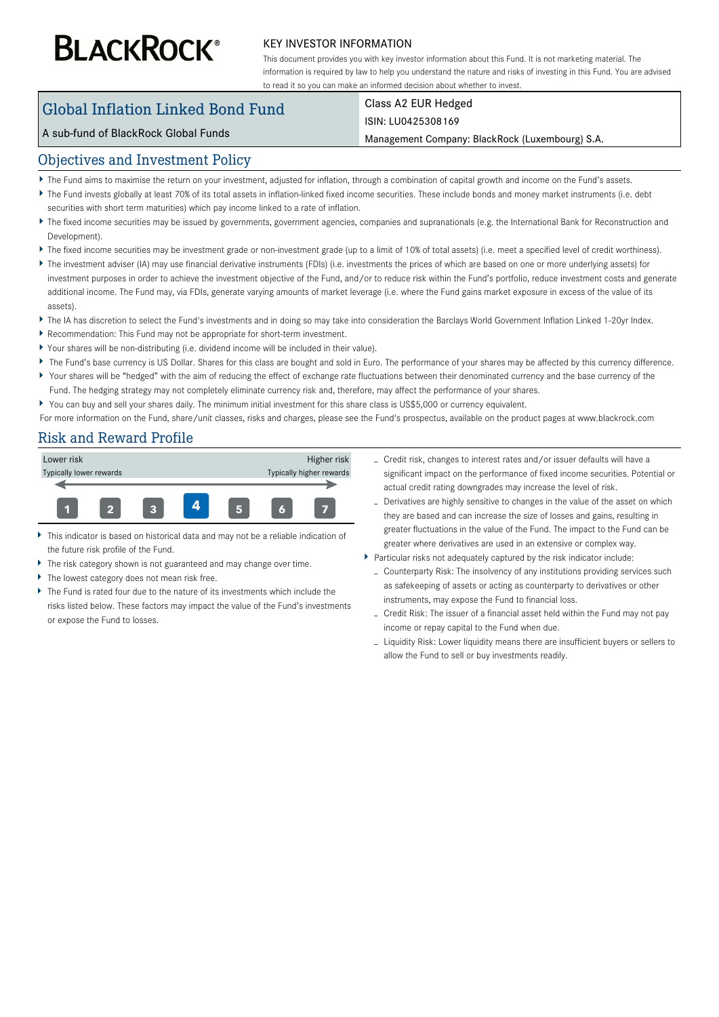# **BLACKROCK®**

#### KEY INVESTOR INFORMATION

This document provides you with key investor information about this Fund. It is not marketing material. The information is required by law to help you understand the nature and risks of investing in this Fund. You are advised to read it so you can make an informed decision about whether to invest.

# Global Inflation Linked Bond Fund

# Class A2 EUR Hedged

#### A sub-fund of BlackRock Global Funds

#### ISIN: LU0425308169

Management Company: BlackRock (Luxembourg) S.A.

#### Objectives and Investment Policy

- The Fund aims to maximise the return on your investment, adjusted for inflation, through a combination of capital growth and income on the Fund's assets.
- ▶ The Fund invests globally at least 70% of its total assets in inflation-linked fixed income securities. These include bonds and money market instruments (i.e. debt securities with short term maturities) which pay income linked to a rate of inflation.
- The fixed income securities may be issued by governments, government agencies, companies and supranationals (e.g. the International Bank for Reconstruction and Development)
- The fixed income securities may be investment grade or non-investment grade (up to a limit of 10% of total assets) (i.e. meet a specified level of credit worthiness).
- ▶ The investment adviser (IA) may use financial derivative instruments (FDIs) (i.e. investments the prices of which are based on one or more underlying assets) for investment purposes in order to achieve the investment objective of the Fund, and/or to reduce risk within the Fund's portfolio, reduce investment costs and generate additional income. The Fund may, via FDIs, generate varying amounts of market leverage (i.e. where the Fund gains market exposure in excess of the value of its assets).
- ▶ The IA has discretion to select the Fund's investments and in doing so may take into consideration the Barclays World Government Inflation Linked 1-20yr Index.
- Recommendation: This Fund may not be appropriate for short-term investment.
- Your shares will be non-distributing (i.e. dividend income will be included in their value).
- ▶ The Fund's base currency is US Dollar. Shares for this class are bought and sold in Euro. The performance of your shares may be affected by this currency difference.
- Your shares will be "hedged" with the aim of reducing the effect of exchange rate fluctuations between their denominated currency and the base currency of the Fund. The hedging strategy may not completely eliminate currency risk and, therefore, may affect the performance of your shares.
- You can buy and sell your shares daily. The minimum initial investment for this share class is US\$5,000 or currency equivalent.

For more information on the Fund, share/unit classes, risks and charges, please see the Fund's prospectus, available on the product pages at www.blackrock.com

## Risk and Reward Profile



- This indicator is based on historical data and may not be a reliable indication of the future risk profile of the Fund.
- The risk category shown is not guaranteed and may change over time.
- k The lowest category does not mean risk free.
- ь The Fund is rated four due to the nature of its investments which include the risks listed below. These factors may impact the value of the Fund's investments or expose the Fund to losses.
- Credit risk, changes to interest rates and/or issuer defaults will have a significant impact on the performance of fixed income securities. Potential or actual credit rating downgrades may increase the level of risk.
- Derivatives are highly sensitive to changes in the value of the asset on which they are based and can increase the size of losses and gains, resulting in greater fluctuations in the value of the Fund. The impact to the Fund can be greater where derivatives are used in an extensive or complex way.
- Particular risks not adequately captured by the risk indicator include:
	- Counterparty Risk: The insolvency of any institutions providing services such as safekeeping of assets or acting as counterparty to derivatives or other instruments, may expose the Fund to financial loss.
	- Credit Risk: The issuer of a financial asset held within the Fund may not pay income or repay capital to the Fund when due.
	- Liquidity Risk: Lower liquidity means there are insufficient buyers or sellers to allow the Fund to sell or buy investments readily.